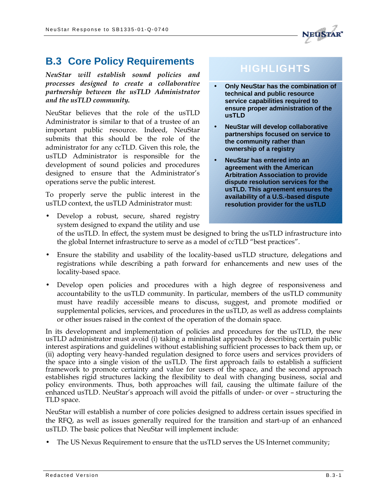## **B.3 Core Policy Requirements**

*NeuStar will establish sound policies and processes designed to create a collaborative partnership between the usTLD Administrator and the usTLD community.*

NeuStar believes that the role of the usTLD Administrator is similar to that of a trustee of an important public resource. Indeed, NeuStar submits that this should be the role of the administrator for any ccTLD. Given this role, the usTLD Administrator is responsible for the development of sound policies and procedures designed to ensure that the Administrator's operations serve the public interest.

To properly serve the public interest in the usTLD context, the usTLD Administrator must:

• Develop a robust, secure, shared registry system designed to expand the utility and use

- of the usTLD. In effect, the system must be designed to bring the usTLD infrastructure into the global Internet infrastructure to serve as a model of ccTLD "best practices".
- Ensure the stability and usability of the locality-based usTLD structure, delegations and registrations while describing a path forward for enhancements and new uses of the locality-based space.
- Develop open policies and procedures with a high degree of responsiveness and accountability to the usTLD community. In particular, members of the usTLD community must have readily accessible means to discuss, suggest, and promote modified or supplemental policies, services, and procedures in the usTLD, as well as address complaints or other issues raised in the context of the operation of the domain space.

In its development and implementation of policies and procedures for the usTLD, the new usTLD administrator must avoid (i) taking a minimalist approach by describing certain public interest aspirations and guidelines without establishing sufficient processes to back them up, or (ii) adopting very heavy-handed regulation designed to force users and services providers of the space into a single vision of the usTLD. The first approach fails to establish a sufficient framework to promote certainty and value for users of the space, and the second approach establishes rigid structures lacking the flexibility to deal with changing business, social and policy environments. Thus, both approaches will fail, causing the ultimate failure of the enhanced usTLD. NeuStar's approach will avoid the pitfalls of under- or over – structuring the TLD space.

NeuStar will establish a number of core policies designed to address certain issues specified in the RFQ, as well as issues generally required for the transition and start-up of an enhanced usTLD. The basic polices that NeuStar will implement include:

• The US Nexus Requirement to ensure that the usTLD serves the US Internet community;

# **HIGHLIGHTS**

- **Only NeuStar has the combination of technical and public resource service capabilities required to ensure proper administration of the usTLD**
- **NeuStar will develop collaborative partnerships focused on service to the community rather than ownership of a registry**
- **NeuStar has entered into an agreement with the American Arbitration Association to provide dispute resolution services for the usTLD. This agreement ensures the availability of a U.S.-based dispute resolution provider for the usTLD**



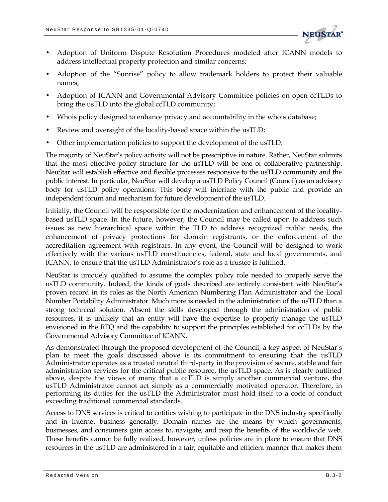

- Adoption of Uniform Dispute Resolution Procedures modeled after ICANN models to address intellectual property protection and similar concerns;
- Adoption of the "Sunrise" policy to allow trademark holders to protect their valuable names;
- Adoption of ICANN and Governmental Advisory Committee policies on open ccTLDs to bring the usTLD into the global ccTLD community;
- Whois policy designed to enhance privacy and accountability in the whois database;
- Review and oversight of the locality-based space within the usTLD;
- Other implementation policies to support the development of the usTLD.

The majority of NeuStar's policy activity will not be prescriptive in nature. Rather, NeuStar submits that the most effective policy structure for the usTLD will be one of collaborative partnership. NeuStar will establish effective and flexible processes responsive to the usTLD community and the public interest. In particular, NeuStar will develop a usTLD Policy Council (Council) as an advisory body for usTLD policy operations. This body will interface with the public and provide an independent forum and mechanism for future development of the usTLD.

Initially, the Council will be responsible for the modernization and enhancement of the localitybased usTLD space. In the future, however, the Council may be called upon to address such issues as new hierarchical space within the TLD to address recognized public needs, the enhancement of privacy protections for domain registrants, or the enforcement of the accreditation agreement with registrars. In any event, the Council will be designed to work effectively with the various usTLD constituencies, federal, state and local governments, and ICANN, to ensure that the usTLD Administrator's role as a trustee is fulfilled.

NeuStar is uniquely qualified to assume the complex policy role needed to properly serve the usTLD community. Indeed, the kinds of goals described are entirely consistent with NeuStar's proven record in its roles as the North American Numbering Plan Administrator and the Local Number Portability Administrator. Much more is needed in the administration of the usTLD than a strong technical solution. Absent the skills developed through the administration of public resources, it is unlikely that an entity will have the expertise to properly manage the usTLD envisioned in the RFQ and the capability to support the principles established for ccTLDs by the Governmental Advisory Committee of ICANN.

As demonstrated through the proposed development of the Council, a key aspect of NeuStar's plan to meet the goals discussed above is its commitment to ensuring that the usTLD Administrator operates as a trusted neutral third-party in the provision of secure, stable and fair administration services for the critical public resource, the usTLD space. As is clearly outlined above, despite the views of many that a ccTLD is simply another commercial venture, the usTLD Administrator cannot act simply as a commercially motivated operator. Therefore, in performing its duties for the usTLD the Administrator must hold itself to a code of conduct exceeding traditional commercial standards.

Access to DNS services is critical to entities wishing to participate in the DNS industry specifically and in Internet business generally. Domain names are the means by which governments, businesses, and consumers gain access to, navigate, and reap the benefits of the worldwide web. These benefits cannot be fully realized, however, unless policies are in place to ensure that DNS resources in the usTLD are administered in a fair, equitable and efficient manner that makes them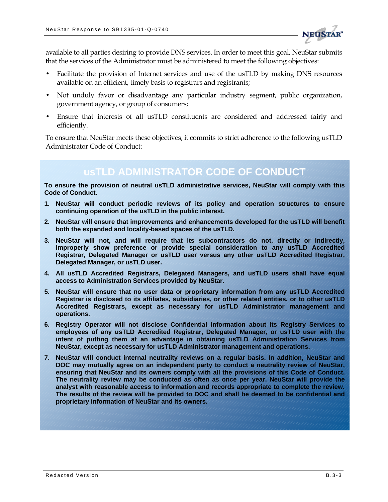

available to all parties desiring to provide DNS services. In order to meet this goal, NeuStar submits that the services of the Administrator must be administered to meet the following objectives:

- Facilitate the provision of Internet services and use of the usTLD by making DNS resources available on an efficient, timely basis to registrars and registrants;
- Not unduly favor or disadvantage any particular industry segment, public organization, government agency, or group of consumers;
- Ensure that interests of all usTLD constituents are considered and addressed fairly and efficiently.

To ensure that NeuStar meets these objectives, it commits to strict adherence to the following usTLD Administrator Code of Conduct:

## **usTLD ADMINISTRATOR CODE OF CONDUCT**

**To ensure the provision of neutral usTLD administrative services, NeuStar will comply with this Code of Conduct.**

- **1. NeuStar will conduct periodic reviews of its policy and operation structures to ensure continuing operation of the usTLD in the public interest.**
- **2. NeuStar will ensure that improvements and enhancements developed for the usTLD will benefit both the expanded and locality-based spaces of the usTLD.**
- **3. NeuStar will not, and will require that its subcontractors do not, directly or indirectly, improperly show preference or provide special consideration to any usTLD Accredited Registrar, Delegated Manager or usTLD user versus any other usTLD Accredited Registrar, Delegated Manager, or usTLD user.**
- **4. All usTLD Accredited Registrars, Delegated Managers, and usTLD users shall have equal access to Administration Services provided by NeuStar.**
- **5. NeuStar will ensure that no user data or proprietary information from any usTLD Accredited Registrar is disclosed to its affiliates, subsidiaries, or other related entities, or to other usTLD Accredited Registrars, except as necessary for usTLD Administrator management and operations.**
- **6. Registry Operator will not disclose Confidential information about its Registry Services to employees of any usTLD Accredited Registrar, Delegated Manager, or usTLD user with the intent of putting them at an advantage in obtaining usTLD Administration Services from NeuStar, except as necessary for usTLD Administrator management and operations.**
- **7. NeuStar will conduct internal neutrality reviews on a regular basis. In addition, NeuStar and DOC may mutually agree on an independent party to conduct a neutrality review of NeuStar, ensuring that NeuStar and its owners comply with all the provisions of this Code of Conduct. The neutrality review may be conducted as often as once per year. NeuStar will provide the analyst with reasonable access to information and records appropriate to complete the review. The results of the review will be provided to DOC and shall be deemed to be confidential and proprietary information of NeuStar and its owners.**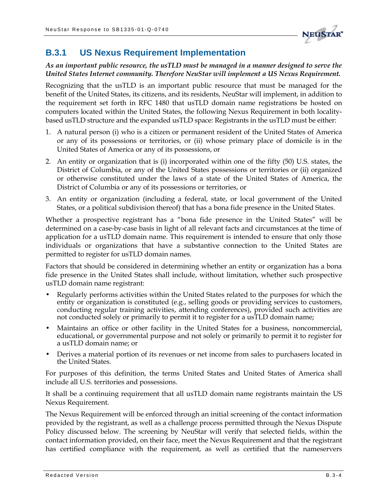

### **B.3.1 US Nexus Requirement Implementation**

#### *As an important public resource, the usTLD must be managed in a manner designed to serve the United States Internet community. Therefore NeuStar will implement a US Nexus Requirement.*

Recognizing that the usTLD is an important public resource that must be managed for the benefit of the United States, its citizens, and its residents, NeuStar will implement, in addition to the requirement set forth in RFC 1480 that usTLD domain name registrations be hosted on computers located within the United States, the following Nexus Requirement in both localitybased usTLD structure and the expanded usTLD space: Registrants in the usTLD must be either:

- 1. A natural person (i) who is a citizen or permanent resident of the United States of America or any of its possessions or territories, or (ii) whose primary place of domicile is in the United States of America or any of its possessions, or
- 2. An entity or organization that is (i) incorporated within one of the fifty (50) U.S. states, the District of Columbia, or any of the United States possessions or territories or (ii) organized or otherwise constituted under the laws of a state of the United States of America, the District of Columbia or any of its possessions or territories, or
- 3. An entity or organization (including a federal, state, or local government of the United States, or a political subdivision thereof) that has a bona fide presence in the United States.

Whether a prospective registrant has a "bona fide presence in the United States" will be determined on a case-by-case basis in light of all relevant facts and circumstances at the time of application for a usTLD domain name. This requirement is intended to ensure that only those individuals or organizations that have a substantive connection to the United States are permitted to register for usTLD domain names.

Factors that should be considered in determining whether an entity or organization has a bona fide presence in the United States shall include, without limitation, whether such prospective usTLD domain name registrant:

- Regularly performs activities within the United States related to the purposes for which the entity or organization is constituted (e.g., selling goods or providing services to customers, conducting regular training activities, attending conferences), provided such activities are not conducted solely or primarily to permit it to register for a usTLD domain name;
- Maintains an office or other facility in the United States for a business, noncommercial, educational, or governmental purpose and not solely or primarily to permit it to register for a usTLD domain name; or
- Derives a material portion of its revenues or net income from sales to purchasers located in the United States.

For purposes of this definition, the terms United States and United States of America shall include all U.S. territories and possessions.

It shall be a continuing requirement that all usTLD domain name registrants maintain the US Nexus Requirement.

The Nexus Requirement will be enforced through an initial screening of the contact information provided by the registrant, as well as a challenge process permitted through the Nexus Dispute Policy discussed below. The screening by NeuStar will verify that selected fields, within the contact information provided, on their face, meet the Nexus Requirement and that the registrant has certified compliance with the requirement, as well as certified that the nameservers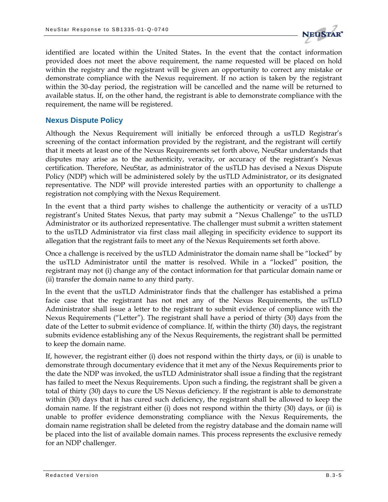

identified are located within the United States**.** In the event that the contact information provided does not meet the above requirement, the name requested will be placed on hold within the registry and the registrant will be given an opportunity to correct any mistake or demonstrate compliance with the Nexus requirement. If no action is taken by the registrant within the 30-day period, the registration will be cancelled and the name will be returned to available status. If, on the other hand, the registrant is able to demonstrate compliance with the requirement, the name will be registered.

#### **Nexus Dispute Policy**

Although the Nexus Requirement will initially be enforced through a usTLD Registrar's screening of the contact information provided by the registrant, and the registrant will certify that it meets at least one of the Nexus Requirements set forth above, NeuStar understands that disputes may arise as to the authenticity, veracity, or accuracy of the registrant's Nexus certification. Therefore, NeuStar, as administrator of the usTLD has devised a Nexus Dispute Policy (NDP) which will be administered solely by the usTLD Administrator, or its designated representative. The NDP will provide interested parties with an opportunity to challenge a registration not complying with the Nexus Requirement.

In the event that a third party wishes to challenge the authenticity or veracity of a usTLD registrant's United States Nexus, that party may submit a "Nexus Challenge" to the usTLD Administrator or its authorized representative. The challenger must submit a written statement to the usTLD Administrator via first class mail alleging in specificity evidence to support its allegation that the registrant fails to meet any of the Nexus Requirements set forth above.

Once a challenge is received by the usTLD Administrator the domain name shall be "locked" by the usTLD Administrator until the matter is resolved. While in a "locked" position, the registrant may not (i) change any of the contact information for that particular domain name or (ii) transfer the domain name to any third party.

In the event that the usTLD Administrator finds that the challenger has established a prima facie case that the registrant has not met any of the Nexus Requirements, the usTLD Administrator shall issue a letter to the registrant to submit evidence of compliance with the Nexus Requirements ("Letter"). The registrant shall have a period of thirty (30) days from the date of the Letter to submit evidence of compliance. If, within the thirty (30) days, the registrant submits evidence establishing any of the Nexus Requirements, the registrant shall be permitted to keep the domain name.

If, however, the registrant either (i) does not respond within the thirty days, or (ii) is unable to demonstrate through documentary evidence that it met any of the Nexus Requirements prior to the date the NDP was invoked, the usTLD Administrator shall issue a finding that the registrant has failed to meet the Nexus Requirements. Upon such a finding, the registrant shall be given a total of thirty (30) days to cure the US Nexus deficiency. If the registrant is able to demonstrate within (30) days that it has cured such deficiency, the registrant shall be allowed to keep the domain name. If the registrant either (i) does not respond within the thirty (30) days, or (ii) is unable to proffer evidence demonstrating compliance with the Nexus Requirements, the domain name registration shall be deleted from the registry database and the domain name will be placed into the list of available domain names. This process represents the exclusive remedy for an NDP challenger.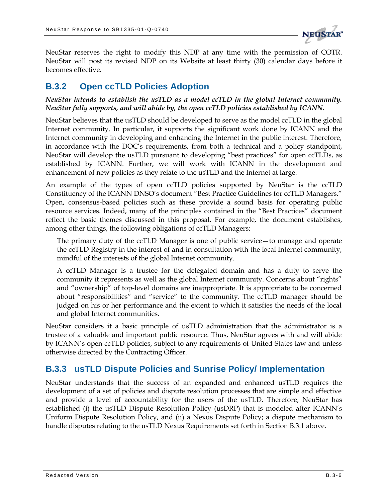

NeuStar reserves the right to modify this NDP at any time with the permission of COTR. NeuStar will post its revised NDP on its Website at least thirty (30) calendar days before it becomes effective.

## **B.3.2 Open ccTLD Policies Adoption**

*NeuStar intends to establish the usTLD as a model ccTLD in the global Internet community. NeuStar fully supports, and will abide by, the open ccTLD policies established by ICANN.*

NeuStar believes that the usTLD should be developed to serve as the model ccTLD in the global Internet community. In particular, it supports the significant work done by ICANN and the Internet community in developing and enhancing the Internet in the public interest. Therefore, in accordance with the DOC's requirements, from both a technical and a policy standpoint, NeuStar will develop the usTLD pursuant to developing "best practices" for open ccTLDs, as established by ICANN. Further, we will work with ICANN in the development and enhancement of new policies as they relate to the usTLD and the Internet at large.

An example of the types of open ccTLD policies supported by NeuStar is the ccTLD Constituency of the ICANN DNSO's document "Best Practice Guidelines for ccTLD Managers." Open, consensus-based policies such as these provide a sound basis for operating public resource services. Indeed, many of the principles contained in the "Best Practices" document reflect the basic themes discussed in this proposal. For example, the document establishes, among other things, the following obligations of ccTLD Managers:

The primary duty of the ccTLD Manager is one of public service—to manage and operate the ccTLD Registry in the interest of and in consultation with the local Internet community, mindful of the interests of the global Internet community.

A ccTLD Manager is a trustee for the delegated domain and has a duty to serve the community it represents as well as the global Internet community. Concerns about "rights" and "ownership" of top-level domains are inappropriate. It is appropriate to be concerned about "responsibilities" and "service" to the community. The ccTLD manager should be judged on his or her performance and the extent to which it satisfies the needs of the local and global Internet communities.

NeuStar considers it a basic principle of usTLD administration that the administrator is a trustee of a valuable and important public resource. Thus, NeuStar agrees with and will abide by ICANN's open ccTLD policies, subject to any requirements of United States law and unless otherwise directed by the Contracting Officer.

## **B.3.3 usTLD Dispute Policies and Sunrise Policy/ Implementation**

NeuStar understands that the success of an expanded and enhanced usTLD requires the development of a set of policies and dispute resolution processes that are simple and effective and provide a level of accountability for the users of the usTLD. Therefore, NeuStar has established (i) the usTLD Dispute Resolution Policy (usDRP) that is modeled after ICANN's Uniform Dispute Resolution Policy, and (ii) a Nexus Dispute Policy; a dispute mechanism to handle disputes relating to the usTLD Nexus Requirements set forth in Section B.3.1 above.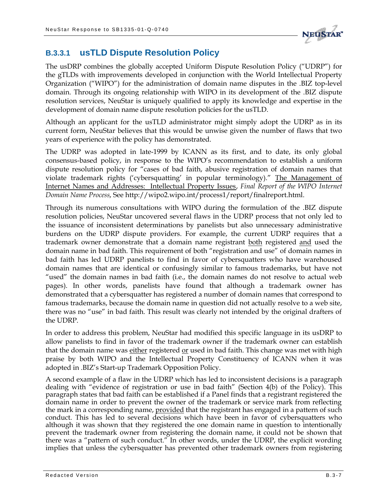

### **B.3.3.1 usTLD Dispute Resolution Policy**

The usDRP combines the globally accepted Uniform Dispute Resolution Policy ("UDRP") for the gTLDs with improvements developed in conjunction with the World Intellectual Property Organization ("WIPO") for the administration of domain name disputes in the .BIZ top-level domain. Through its ongoing relationship with WIPO in its development of the .BIZ dispute resolution services, NeuStar is uniquely qualified to apply its knowledge and expertise in the development of domain name dispute resolution policies for the usTLD.

Although an applicant for the usTLD administrator might simply adopt the UDRP as in its current form, NeuStar believes that this would be unwise given the number of flaws that two years of experience with the policy has demonstrated.

The UDRP was adopted in late-1999 by ICANN as its first, and to date, its only global consensus-based policy, in response to the WIPO's recommendation to establish a uniform dispute resolution policy for "cases of bad faith, abusive registration of domain names that violate trademark rights ('cybersquatting' in popular terminology)." The Management of Internet Names and Addresses: Intellectual Property Issues, *Final Report of the WIPO Internet Domain Name Process*, See http://wipo2.wipo.int/process1/report/finalreport.html.

Through its numerous consultations with WIPO during the formulation of the .BIZ dispute resolution policies, NeuStar uncovered several flaws in the UDRP process that not only led to the issuance of inconsistent determinations by panelists but also unnecessary administrative burdens on the UDRP dispute providers. For example, the current UDRP requires that a trademark owner demonstrate that a domain name registrant both registered and used the domain name in bad faith. This requirement of both "registration and use" of domain names in bad faith has led UDRP panelists to find in favor of cybersquatters who have warehoused domain names that are identical or confusingly similar to famous trademarks, but have not "used" the domain names in bad faith (i.e., the domain names do not resolve to actual web pages). In other words, panelists have found that although a trademark owner has demonstrated that a cybersquatter has registered a number of domain names that correspond to famous trademarks, because the domain name in question did not actually resolve to a web site, there was no "use" in bad faith. This result was clearly not intended by the original drafters of the UDRP.

In order to address this problem, NeuStar had modified this specific language in its usDRP to allow panelists to find in favor of the trademark owner if the trademark owner can establish that the domain name was either registered or used in bad faith. This change was met with high praise by both WIPO and the Intellectual Property Constituency of ICANN when it was adopted in .BIZ's Start-up Trademark Opposition Policy.

A second example of a flaw in the UDRP which has led to inconsistent decisions is a paragraph dealing with "evidence of registration or use in bad faith" (Section 4(b) of the Policy). This paragraph states that bad faith can be established if a Panel finds that a registrant registered the domain name in order to prevent the owner of the trademark or service mark from reflecting the mark in a corresponding name, **provided** that the registrant has engaged in a pattern of such conduct. This has led to several decisions which have been in favor of cybersquatters who although it was shown that they registered the one domain name in question to intentionally prevent the trademark owner from registering the domain name, it could not be shown that there was a "pattern of such conduct." In other words, under the UDRP, the explicit wording implies that unless the cybersquatter has prevented other trademark owners from registering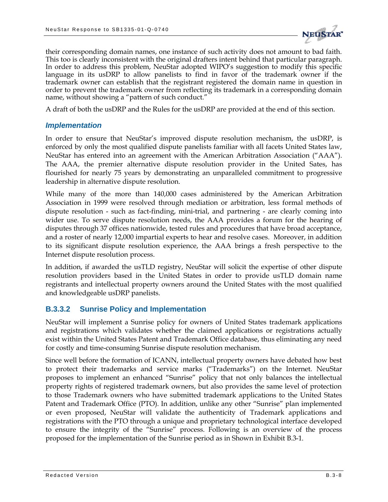

their corresponding domain names, one instance of such activity does not amount to bad faith. This too is clearly inconsistent with the original drafters intent behind that particular paragraph. In order to address this problem, NeuStar adopted WIPO's suggestion to modify this specific language in its usDRP to allow panelists to find in favor of the trademark owner if the trademark owner can establish that the registrant registered the domain name in question in order to prevent the trademark owner from reflecting its trademark in a corresponding domain name, without showing a "pattern of such conduct."

A draft of both the usDRP and the Rules for the usDRP are provided at the end of this section.

#### *Implementation*

In order to ensure that NeuStar's improved dispute resolution mechanism, the usDRP, is enforced by only the most qualified dispute panelists familiar with all facets United States law, NeuStar has entered into an agreement with the American Arbitration Association ("AAA"). The AAA, the premier alternative dispute resolution provider in the United Sates, has flourished for nearly 75 years by demonstrating an unparalleled commitment to progressive leadership in alternative dispute resolution.

While many of the more than 140,000 cases administered by the American Arbitration Association in 1999 were resolved through mediation or arbitration, less formal methods of dispute resolution - such as fact-finding, mini-trial, and partnering - are clearly coming into wider use. To serve dispute resolution needs, the AAA provides a forum for the hearing of disputes through 37 offices nationwide, tested rules and procedures that have broad acceptance, and a roster of nearly 12,000 impartial experts to hear and resolve cases. Moreover, in addition to its significant dispute resolution experience, the AAA brings a fresh perspective to the Internet dispute resolution process.

In addition, if awarded the usTLD registry, NeuStar will solicit the expertise of other dispute resolution providers based in the United States in order to provide usTLD domain name registrants and intellectual property owners around the United States with the most qualified and knowledgeable usDRP panelists.

#### **B.3.3.2 Sunrise Policy and Implementation**

NeuStar will implement a Sunrise policy for owners of United States trademark applications and registrations which validates whether the claimed applications or registrations actually exist within the United States Patent and Trademark Office database, thus eliminating any need for costly and time-consuming Sunrise dispute resolution mechanism.

Since well before the formation of ICANN, intellectual property owners have debated how best to protect their trademarks and service marks ("Trademarks") on the Internet. NeuStar proposes to implement an enhanced "Sunrise" policy that not only balances the intellectual property rights of registered trademark owners, but also provides the same level of protection to those Trademark owners who have submitted trademark applications to the United States Patent and Trademark Office (PTO). In addition, unlike any other "Sunrise" plan implemented or even proposed, NeuStar will validate the authenticity of Trademark applications and registrations with the PTO through a unique and proprietary technological interface developed to ensure the integrity of the "Sunrise" process. Following is an overview of the process proposed for the implementation of the Sunrise period as in Shown in Exhibit B.3-1.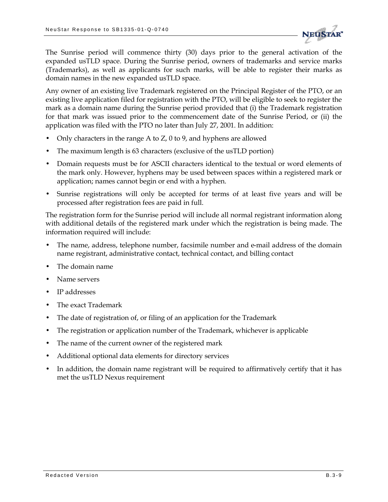

The Sunrise period will commence thirty (30) days prior to the general activation of the expanded usTLD space. During the Sunrise period, owners of trademarks and service marks (Trademarks), as well as applicants for such marks, will be able to register their marks as domain names in the new expanded usTLD space.

Any owner of an existing live Trademark registered on the Principal Register of the PTO, or an existing live application filed for registration with the PTO, will be eligible to seek to register the mark as a domain name during the Sunrise period provided that (i) the Trademark registration for that mark was issued prior to the commencement date of the Sunrise Period, or (ii) the application was filed with the PTO no later than July 27, 2001. In addition:

- Only characters in the range A to Z, 0 to 9, and hyphens are allowed
- The maximum length is 63 characters (exclusive of the usTLD portion)
- Domain requests must be for ASCII characters identical to the textual or word elements of the mark only. However, hyphens may be used between spaces within a registered mark or application; names cannot begin or end with a hyphen.
- Sunrise registrations will only be accepted for terms of at least five years and will be processed after registration fees are paid in full.

The registration form for the Sunrise period will include all normal registrant information along with additional details of the registered mark under which the registration is being made. The information required will include:

- The name, address, telephone number, facsimile number and e-mail address of the domain name registrant, administrative contact, technical contact, and billing contact
- The domain name
- Name servers
- IP addresses
- The exact Trademark
- The date of registration of, or filing of an application for the Trademark
- The registration or application number of the Trademark, whichever is applicable
- The name of the current owner of the registered mark
- Additional optional data elements for directory services
- In addition, the domain name registrant will be required to affirmatively certify that it has met the usTLD Nexus requirement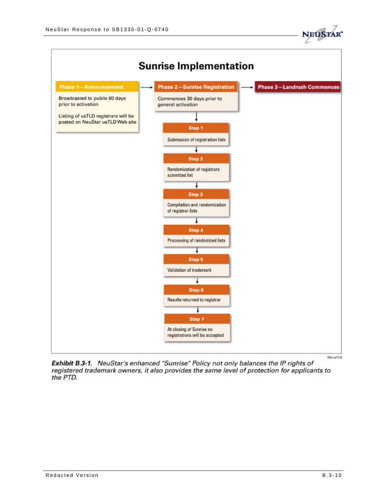



053.usTLD

Exhibit B.3-1. NeuStar's enhanced "Sunrise" Policy not only balances the IP rights of registered trademark owners, it also provides the same level of protection for applicants to the PTD.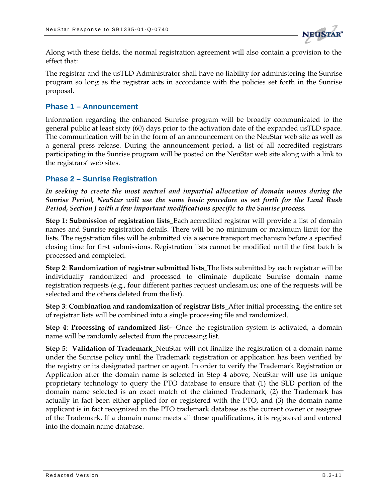

Along with these fields, the normal registration agreement will also contain a provision to the effect that:

The registrar and the usTLD Administrator shall have no liability for administering the Sunrise program so long as the registrar acts in accordance with the policies set forth in the Sunrise proposal.

#### **Phase 1 – Announcement**

Information regarding the enhanced Sunrise program will be broadly communicated to the general public at least sixty (60) days prior to the activation date of the expanded usTLD space. The communication will be in the form of an announcement on the NeuStar web site as well as a general press release. During the announcement period, a list of all accredited registrars participating in the Sunrise program will be posted on the NeuStar web site along with a link to the registrars' web sites.

#### **Phase 2 – Sunrise Registration**

*In seeking to create the most neutral and impartial allocation of domain names during the Sunrise Period, NeuStar will use the same basic procedure as set forth for the Land Rush Period, Section J with a few important modifications specific to the Sunrise process.*

**Step 1: Submission of registration lists\_**Each accredited registrar will provide a list of domain names and Sunrise registration details. There will be no minimum or maximum limit for the lists. The registration files will be submitted via a secure transport mechanism before a specified closing time for first submissions. Registration lists cannot be modified until the first batch is processed and completed.

**Step 2**: **Randomization of registrar submitted lists\_**The lists submitted by each registrar will be individually randomized and processed to eliminate duplicate Sunrise domain name registration requests (e.g., four different parties request unclesam.us; one of the requests will be selected and the others deleted from the list).

**Step 3**: **Combination and randomization of registrar lists**\_After initial processing, the entire set of registrar lists will be combined into a single processing file and randomized.

**Step 4**: **Processing of randomized list-**--Once the registration system is activated, a domain name will be randomly selected from the processing list.

**Step 5**: **Validation of Trademark**\_NeuStar will not finalize the registration of a domain name under the Sunrise policy until the Trademark registration or application has been verified by the registry or its designated partner or agent. In order to verify the Trademark Registration or Application after the domain name is selected in Step 4 above, NeuStar will use its unique proprietary technology to query the PTO database to ensure that (1) the SLD portion of the domain name selected is an exact match of the claimed Trademark, (2) the Trademark has actually in fact been either applied for or registered with the PTO, and (3) the domain name applicant is in fact recognized in the PTO trademark database as the current owner or assignee of the Trademark. If a domain name meets all these qualifications, it is registered and entered into the domain name database.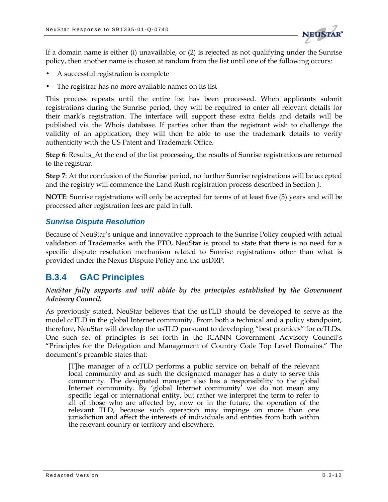

If a domain name is either (i) unavailable, or (2) is rejected as not qualifying under the Sunrise policy, then another name is chosen at random from the list until one of the following occurs:

- A successful registration is complete
- The registrar has no more available names on its list

This process repeats until the entire list has been processed. When applicants submit registrations during the Sunrise period, they will be required to enter all relevant details for their mark's registration. The interface will support these extra fields and details will be published via the Whois database. If parties other than the registrant wish to challenge the validity of an application, they will then be able to use the trademark details to verify authenticity with the US Patent and Trademark Office.

**Step 6**: Results\_At the end of the list processing, the results of Sunrise registrations are returned to the registrar.

**Step 7**: At the conclusion of the Sunrise period, no further Sunrise registrations will be accepted and the registry will commence the Land Rush registration process described in Section J.

**NOTE**: Sunrise registrations will only be accepted for terms of at least five (5) years and will be processed after registration fees are paid in full.

#### *Sunrise Dispute Resolution*

Because of NeuStar's unique and innovative approach to the Sunrise Policy coupled with actual validation of Trademarks with the PTO, NeuStar is proud to state that there is no need for a specific dispute resolution mechanism related to Sunrise registrations other than what is provided under the Nexus Dispute Policy and the usDRP.

### **B.3.4 GAC Principles**

#### *NeuStar fully supports and will abide by the principles established by the Government Advisory Council.*

As previously stated, NeuStar believes that the usTLD should be developed to serve as the model ccTLD in the global Internet community. From both a technical and a policy standpoint, therefore, NeuStar will develop the usTLD pursuant to developing "best practices" for ccTLDs. One such set of principles is set forth in the ICANN Government Advisory Council's "Principles for the Delegation and Management of Country Code Top Level Domains." The document's preamble states that:

[T]he manager of a ccTLD performs a public service on behalf of the relevant local community and as such the designated manager has a duty to serve this community. The designated manager also has a responsibility to the global Internet community. By 'global Internet community' we do not mean any specific legal or international entity, but rather we interpret the term to refer to all of those who are affected by, now or in the future, the operation of the relevant TLD, because such operation may impinge on more than one jurisdiction and affect the interests of individuals and entities from both within the relevant country or territory and elsewhere.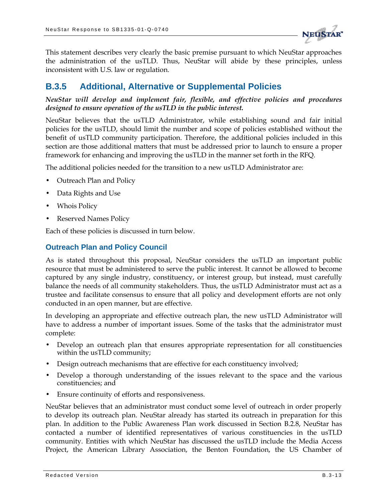

This statement describes very clearly the basic premise pursuant to which NeuStar approaches the administration of the usTLD. Thus, NeuStar will abide by these principles, unless inconsistent with U.S. law or regulation.

### **B.3.5 Additional, Alternative or Supplemental Policies**

*NeuStar will develop and implement fair, flexible, and effective policies and procedures designed to ensure operation of the usTLD in the public interest.*

NeuStar believes that the usTLD Administrator, while establishing sound and fair initial policies for the usTLD, should limit the number and scope of policies established without the benefit of usTLD community participation. Therefore, the additional policies included in this section are those additional matters that must be addressed prior to launch to ensure a proper framework for enhancing and improving the usTLD in the manner set forth in the RFQ.

The additional policies needed for the transition to a new usTLD Administrator are:

- Outreach Plan and Policy
- Data Rights and Use
- Whois Policy
- Reserved Names Policy

Each of these policies is discussed in turn below.

#### **Outreach Plan and Policy Council**

As is stated throughout this proposal, NeuStar considers the usTLD an important public resource that must be administered to serve the public interest. It cannot be allowed to become captured by any single industry, constituency, or interest group, but instead, must carefully balance the needs of all community stakeholders. Thus, the usTLD Administrator must act as a trustee and facilitate consensus to ensure that all policy and development efforts are not only conducted in an open manner, but are effective.

In developing an appropriate and effective outreach plan, the new usTLD Administrator will have to address a number of important issues. Some of the tasks that the administrator must complete:

- Develop an outreach plan that ensures appropriate representation for all constituencies within the usTLD community;
- Design outreach mechanisms that are effective for each constituency involved;
- Develop a thorough understanding of the issues relevant to the space and the various constituencies; and
- Ensure continuity of efforts and responsiveness.

NeuStar believes that an administrator must conduct some level of outreach in order properly to develop its outreach plan. NeuStar already has started its outreach in preparation for this plan. In addition to the Public Awareness Plan work discussed in Section B.2.8, NeuStar has contacted a number of identified representatives of various constituencies in the usTLD community. Entities with which NeuStar has discussed the usTLD include the Media Access Project, the American Library Association, the Benton Foundation, the US Chamber of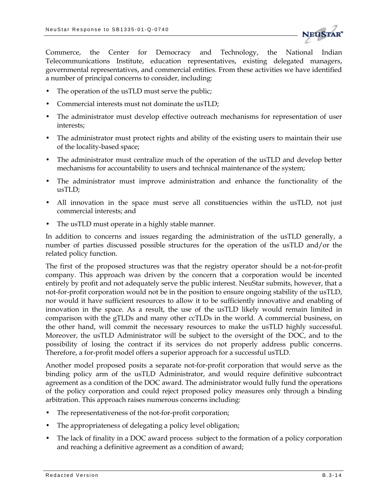

Commerce, the Center for Democracy and Technology, the National Indian Telecommunications Institute, education representatives, existing delegated managers, governmental representatives, and commercial entities. From these activities we have identified a number of principal concerns to consider, including:

- The operation of the usTLD must serve the public;
- Commercial interests must not dominate the usTLD;
- The administrator must develop effective outreach mechanisms for representation of user interests;
- The administrator must protect rights and ability of the existing users to maintain their use of the locality-based space;
- The administrator must centralize much of the operation of the usTLD and develop better mechanisms for accountability to users and technical maintenance of the system;
- The administrator must improve administration and enhance the functionality of the usTLD;
- All innovation in the space must serve all constituencies within the usTLD, not just commercial interests; and
- The usTLD must operate in a highly stable manner.

In addition to concerns and issues regarding the administration of the usTLD generally, a number of parties discussed possible structures for the operation of the usTLD and/or the related policy function.

The first of the proposed structures was that the registry operator should be a not-for-profit company. This approach was driven by the concern that a corporation would be incented entirely by profit and not adequately serve the public interest. NeuStar submits, however, that a not-for-profit corporation would not be in the position to ensure ongoing stability of the usTLD, nor would it have sufficient resources to allow it to be sufficiently innovative and enabling of innovation in the space. As a result, the use of the usTLD likely would remain limited in comparison with the gTLDs and many other ccTLDs in the world. A commercial business, on the other hand, will commit the necessary resources to make the usTLD highly successful. Moreover, the usTLD Administrator will be subject to the oversight of the DOC, and to the possibility of losing the contract if its services do not properly address public concerns. Therefore, a for-profit model offers a superior approach for a successful usTLD.

Another model proposed posits a separate not-for-profit corporation that would serve as the binding policy arm of the usTLD Administrator, and would require definitive subcontract agreement as a condition of the DOC award. The administrator would fully fund the operations of the policy corporation and could reject proposed policy measures only through a binding arbitration. This approach raises numerous concerns including:

- The representativeness of the not-for-profit corporation;
- The appropriateness of delegating a policy level obligation;
- The lack of finality in a DOC award process subject to the formation of a policy corporation and reaching a definitive agreement as a condition of award;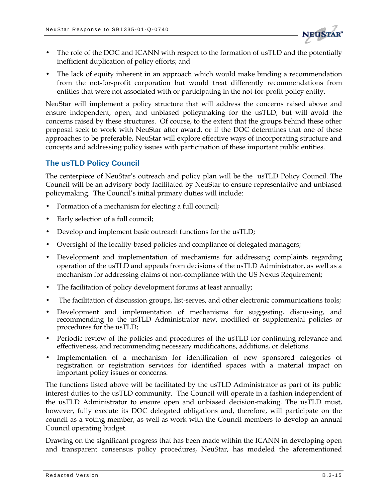

- The role of the DOC and ICANN with respect to the formation of usTLD and the potentially inefficient duplication of policy efforts; and
- The lack of equity inherent in an approach which would make binding a recommendation from the not-for-profit corporation but would treat differently recommendations from entities that were not associated with or participating in the not-for-profit policy entity.

NeuStar will implement a policy structure that will address the concerns raised above and ensure independent, open, and unbiased policymaking for the usTLD, but will avoid the concerns raised by these structures. Of course, to the extent that the groups behind these other proposal seek to work with NeuStar after award, or if the DOC determines that one of these approaches to be preferable, NeuStar will explore effective ways of incorporating structure and concepts and addressing policy issues with participation of these important public entities.

### **The usTLD Policy Council**

The centerpiece of NeuStar's outreach and policy plan will be the usTLD Policy Council. The Council will be an advisory body facilitated by NeuStar to ensure representative and unbiased policymaking. The Council's initial primary duties will include:

- Formation of a mechanism for electing a full council;
- Early selection of a full council;
- Develop and implement basic outreach functions for the usTLD;
- Oversight of the locality-based policies and compliance of delegated managers;
- Development and implementation of mechanisms for addressing complaints regarding operation of the usTLD and appeals from decisions of the usTLD Administrator, as well as a mechanism for addressing claims of non-compliance with the US Nexus Requirement;
- The facilitation of policy development forums at least annually;
- The facilitation of discussion groups, list-serves, and other electronic communications tools;
- Development and implementation of mechanisms for suggesting, discussing, and recommending to the usTLD Administrator new, modified or supplemental policies or procedures for the usTLD;
- Periodic review of the policies and procedures of the usTLD for continuing relevance and effectiveness, and recommending necessary modifications, additions, or deletions.
- Implementation of a mechanism for identification of new sponsored categories of registration or registration services for identified spaces with a material impact on important policy issues or concerns.

The functions listed above will be facilitated by the usTLD Administrator as part of its public interest duties to the usTLD community. The Council will operate in a fashion independent of the usTLD Administrator to ensure open and unbiased decision-making. The usTLD must, however, fully execute its DOC delegated obligations and, therefore, will participate on the council as a voting member, as well as work with the Council members to develop an annual Council operating budget.

Drawing on the significant progress that has been made within the ICANN in developing open and transparent consensus policy procedures, NeuStar, has modeled the aforementioned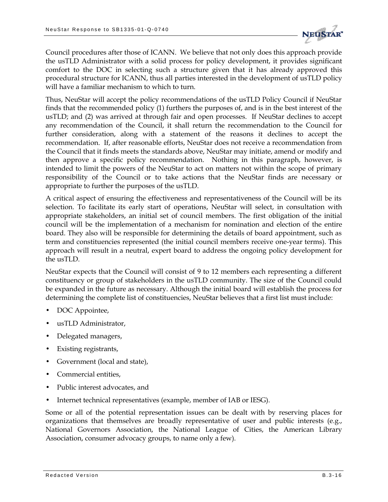

Council procedures after those of ICANN. We believe that not only does this approach provide the usTLD Administrator with a solid process for policy development, it provides significant comfort to the DOC in selecting such a structure given that it has already approved this procedural structure for ICANN, thus all parties interested in the development of usTLD policy will have a familiar mechanism to which to turn.

Thus, NeuStar will accept the policy recommendations of the usTLD Policy Council if NeuStar finds that the recommended policy (1) furthers the purposes of, and is in the best interest of the usTLD; and (2) was arrived at through fair and open processes. If NeuStar declines to accept any recommendation of the Council, it shall return the recommendation to the Council for further consideration, along with a statement of the reasons it declines to accept the recommendation. If, after reasonable efforts, NeuStar does not receive a recommendation from the Council that it finds meets the standards above, NeuStar may initiate, amend or modify and then approve a specific policy recommendation. Nothing in this paragraph, however, is intended to limit the powers of the NeuStar to act on matters not within the scope of primary responsibility of the Council or to take actions that the NeuStar finds are necessary or appropriate to further the purposes of the usTLD.

A critical aspect of ensuring the effectiveness and representativeness of the Council will be its selection. To facilitate its early start of operations, NeuStar will select, in consultation with appropriate stakeholders, an initial set of council members. The first obligation of the initial council will be the implementation of a mechanism for nomination and election of the entire board. They also will be responsible for determining the details of board appointment, such as term and constituencies represented (the initial council members receive one-year terms). This approach will result in a neutral, expert board to address the ongoing policy development for the usTLD.

NeuStar expects that the Council will consist of 9 to 12 members each representing a different constituency or group of stakeholders in the usTLD community. The size of the Council could be expanded in the future as necessary. Although the initial board will establish the process for determining the complete list of constituencies, NeuStar believes that a first list must include:

- DOC Appointee,
- usTLD Administrator,
- Delegated managers,
- Existing registrants,
- Government (local and state),
- Commercial entities,
- Public interest advocates, and
- Internet technical representatives (example, member of IAB or IESG).

Some or all of the potential representation issues can be dealt with by reserving places for organizations that themselves are broadly representative of user and public interests (e.g., National Governors Association, the National League of Cities, the American Library Association, consumer advocacy groups, to name only a few).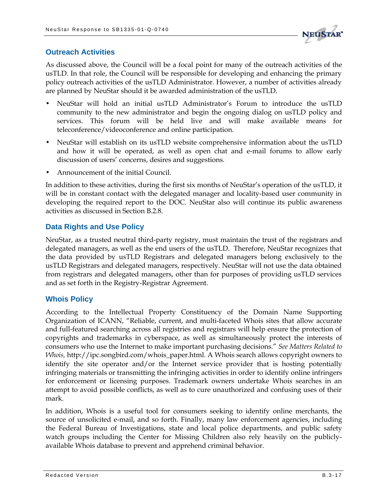

#### **Outreach Activities**

As discussed above, the Council will be a focal point for many of the outreach activities of the usTLD. In that role, the Council will be responsible for developing and enhancing the primary policy outreach activities of the usTLD Administrator. However, a number of activities already are planned by NeuStar should it be awarded administration of the usTLD.

- NeuStar will hold an initial usTLD Administrator's Forum to introduce the usTLD community to the new administrator and begin the ongoing dialog on usTLD policy and services. This forum will be held live and will make available means for teleconference/videoconference and online participation.
- NeuStar will establish on its usTLD website comprehensive information about the usTLD and how it will be operated, as well as open chat and e-mail forums to allow early discussion of users' concerns, desires and suggestions.
- Announcement of the initial Council.

In addition to these activities, during the first six months of NeuStar's operation of the usTLD, it will be in constant contact with the delegated manager and locality-based user community in developing the required report to the DOC. NeuStar also will continue its public awareness activities as discussed in Section B.2.8.

#### **Data Rights and Use Policy**

NeuStar, as a trusted neutral third-party registry, must maintain the trust of the registrars and delegated managers, as well as the end users of the usTLD. Therefore, NeuStar recognizes that the data provided by usTLD Registrars and delegated managers belong exclusively to the usTLD Registrars and delegated managers, respectively. NeuStar will not use the data obtained from registrars and delegated managers, other than for purposes of providing usTLD services and as set forth in the Registry-Registrar Agreement.

#### **Whois Policy**

According to the Intellectual Property Constituency of the Domain Name Supporting Organization of ICANN, "Reliable, current, and multi-faceted Whois sites that allow accurate and full-featured searching across all registries and registrars will help ensure the protection of copyrights and trademarks in cyberspace, as well as simultaneously protect the interests of consumers who use the Internet to make important purchasing decisions." *See Matters Related to Whois,* http://ipc.songbird.com/whois\_paper.html. A Whois search allows copyright owners to identify the site operator and/or the Internet service provider that is hosting potentially infringing materials or transmitting the infringing activities in order to identify online infringers for enforcement or licensing purposes. Trademark owners undertake Whois searches in an attempt to avoid possible conflicts, as well as to cure unauthorized and confusing uses of their mark.

In addition, Whois is a useful tool for consumers seeking to identify online merchants, the source of unsolicited e-mail, and so forth. Finally, many law enforcement agencies, including the Federal Bureau of Investigations, state and local police departments, and public safety watch groups including the Center for Missing Children also rely heavily on the publiclyavailable Whois database to prevent and apprehend criminal behavior.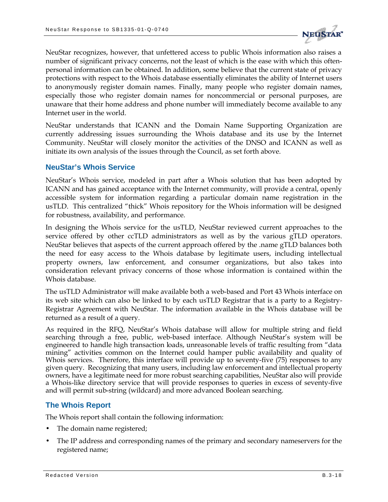

NeuStar recognizes, however, that unfettered access to public Whois information also raises a number of significant privacy concerns, not the least of which is the ease with which this oftenpersonal information can be obtained. In addition, some believe that the current state of privacy protections with respect to the Whois database essentially eliminates the ability of Internet users to anonymously register domain names. Finally, many people who register domain names, especially those who register domain names for noncommercial or personal purposes, are unaware that their home address and phone number will immediately become available to any Internet user in the world.

NeuStar understands that ICANN and the Domain Name Supporting Organization are currently addressing issues surrounding the Whois database and its use by the Internet Community. NeuStar will closely monitor the activities of the DNSO and ICANN as well as initiate its own analysis of the issues through the Council, as set forth above.

#### **NeuStar's Whois Service**

NeuStar's Whois service, modeled in part after a Whois solution that has been adopted by ICANN and has gained acceptance with the Internet community, will provide a central, openly accessible system for information regarding a particular domain name registration in the usTLD. This centralized "thick" Whois repository for the Whois information will be designed for robustness, availability, and performance.

In designing the Whois service for the usTLD, NeuStar reviewed current approaches to the service offered by other ccTLD administrators as well as by the various gTLD operators. NeuStar believes that aspects of the current approach offered by the .name gTLD balances both the need for easy access to the Whois database by legitimate users, including intellectual property owners, law enforcement, and consumer organizations, but also takes into consideration relevant privacy concerns of those whose information is contained within the Whois database.

The usTLD Administrator will make available both a web-based and Port 43 Whois interface on its web site which can also be linked to by each usTLD Registrar that is a party to a Registry-Registrar Agreement with NeuStar. The information available in the Whois database will be returned as a result of a query.

As required in the RFQ, NeuStar's Whois database will allow for multiple string and field searching through a free, public, web-based interface. Although NeuStar's system will be engineered to handle high transaction loads, unreasonable levels of traffic resulting from "data mining" activities common on the Internet could hamper public availability and quality of Whois services. Therefore, this interface will provide up to seventy-five (75) responses to any given query. Recognizing that many users, including law enforcement and intellectual property owners, have a legitimate need for more robust searching capabilities, NeuStar also will provide a Whois-like directory service that will provide responses to queries in excess of seventy-five and will permit sub-string (wildcard) and more advanced Boolean searching.

#### **The Whois Report**

The Whois report shall contain the following information:

- The domain name registered;
- The IP address and corresponding names of the primary and secondary nameservers for the registered name;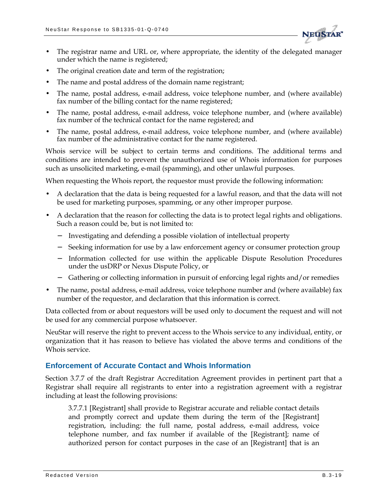

- The registrar name and URL or, where appropriate, the identity of the delegated manager under which the name is registered;
- The original creation date and term of the registration;
- The name and postal address of the domain name registrant;
- The name, postal address, e-mail address, voice telephone number, and (where available) fax number of the billing contact for the name registered;
- The name, postal address, e-mail address, voice telephone number, and (where available) fax number of the technical contact for the name registered; and
- The name, postal address, e-mail address, voice telephone number, and (where available) fax number of the administrative contact for the name registered.

Whois service will be subject to certain terms and conditions. The additional terms and conditions are intended to prevent the unauthorized use of Whois information for purposes such as unsolicited marketing, e-mail (spamming), and other unlawful purposes.

When requesting the Whois report, the requestor must provide the following information:

- A declaration that the data is being requested for a lawful reason, and that the data will not be used for marketing purposes, spamming, or any other improper purpose.
- A declaration that the reason for collecting the data is to protect legal rights and obligations. Such a reason could be, but is not limited to:
	- − Investigating and defending a possible violation of intellectual property
	- − Seeking information for use by a law enforcement agency or consumer protection group
	- − Information collected for use within the applicable Dispute Resolution Procedures under the usDRP or Nexus Dispute Policy, or
	- − Gathering or collecting information in pursuit of enforcing legal rights and/or remedies
- The name, postal address, e-mail address, voice telephone number and (where available) fax number of the requestor, and declaration that this information is correct.

Data collected from or about requestors will be used only to document the request and will not be used for any commercial purpose whatsoever.

NeuStar will reserve the right to prevent access to the Whois service to any individual, entity, or organization that it has reason to believe has violated the above terms and conditions of the Whois service.

#### **Enforcement of Accurate Contact and Whois Information**

Section 3.7.7 of the draft Registrar Accreditation Agreement provides in pertinent part that a Registrar shall require all registrants to enter into a registration agreement with a registrar including at least the following provisions:

3.7.7.1 [Registrant] shall provide to Registrar accurate and reliable contact details and promptly correct and update them during the term of the [Registrant] registration, including: the full name, postal address, e-mail address, voice telephone number, and fax number if available of the [Registrant]; name of authorized person for contact purposes in the case of an [Registrant] that is an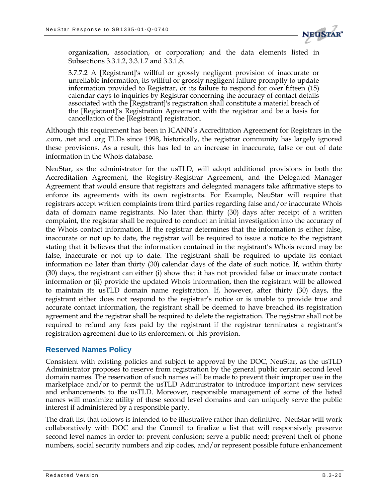

organization, association, or corporation; and the data elements listed in Subsections 3.3.1.2, 3.3.1.7 and 3.3.1.8.

3.7.7.2 A [Registrant]'s willful or grossly negligent provision of inaccurate or unreliable information, its willful or grossly negligent failure promptly to update information provided to Registrar, or its failure to respond for over fifteen (15) calendar days to inquiries by Registrar concerning the accuracy of contact details associated with the [Registrant]'s registration shall constitute a material breach of the [Registrant]'s Registration Agreement with the registrar and be a basis for cancellation of the [Registrant] registration.

Although this requirement has been in ICANN's Accreditation Agreement for Registrars in the .com, .net and .org TLDs since 1998, historically, the registrar community has largely ignored these provisions. As a result, this has led to an increase in inaccurate, false or out of date information in the Whois database.

NeuStar, as the administrator for the usTLD, will adopt additional provisions in both the Accreditation Agreement, the Registry-Registrar Agreement, and the Delegated Manager Agreement that would ensure that registrars and delegated managers take affirmative steps to enforce its agreements with its own registrants. For Example, NeuStar will require that registrars accept written complaints from third parties regarding false and/or inaccurate Whois data of domain name registrants. No later than thirty (30) days after receipt of a written complaint, the registrar shall be required to conduct an initial investigation into the accuracy of the Whois contact information. If the registrar determines that the information is either false, inaccurate or not up to date, the registrar will be required to issue a notice to the registrant stating that it believes that the information contained in the registrant's Whois record may be false, inaccurate or not up to date. The registrant shall be required to update its contact information no later than thirty (30) calendar days of the date of such notice. If, within thirty (30) days, the registrant can either (i) show that it has not provided false or inaccurate contact information or (ii) provide the updated Whois information, then the registrant will be allowed to maintain its usTLD domain name registration. If, however, after thirty (30) days, the registrant either does not respond to the registrar's notice or is unable to provide true and accurate contact information, the registrant shall be deemed to have breached its registration agreement and the registrar shall be required to delete the registration. The registrar shall not be required to refund any fees paid by the registrant if the registrar terminates a registrant's registration agreement due to its enforcement of this provision.

#### **Reserved Names Policy**

Consistent with existing policies and subject to approval by the DOC, NeuStar, as the usTLD Administrator proposes to reserve from registration by the general public certain second level domain names. The reservation of such names will be made to prevent their improper use in the marketplace and/or to permit the usTLD Administrator to introduce important new services and enhancements to the usTLD. Moreover, responsible management of some of the listed names will maximize utility of these second level domains and can uniquely serve the public interest if administered by a responsible party.

The draft list that follows is intended to be illustrative rather than definitive. NeuStar will work collaboratively with DOC and the Council to finalize a list that will responsively preserve second level names in order to: prevent confusion; serve a public need; prevent theft of phone numbers, social security numbers and zip codes, and/or represent possible future enhancement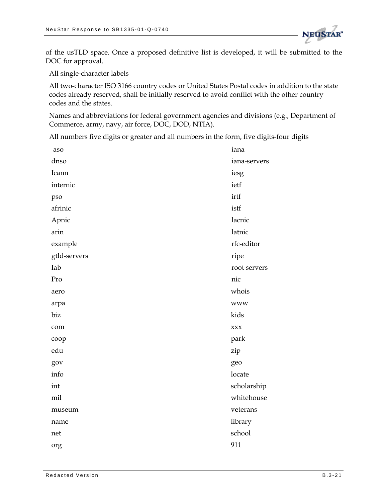

of the usTLD space. Once a proposed definitive list is developed, it will be submitted to the DOC for approval.

All single-character labels

All two-character ISO 3166 country codes or United States Postal codes in addition to the state codes already reserved, shall be initially reserved to avoid conflict with the other country codes and the states.

Names and abbreviations for federal government agencies and divisions (e.g., Department of Commerce, army, navy, air force, DOC, DOD, NTIA).

All numbers five digits or greater and all numbers in the form, five digits-four digits

| aso          | iana           |
|--------------|----------------|
| dnso         | iana-servers   |
| Icann        | iesg           |
| internic     | ietf           |
| pso          | irtf           |
| afrinic      | istf           |
| Apnic        | lacnic         |
| arin         | latnic         |
| example      | rfc-editor     |
| gtld-servers | ripe           |
| Iab          | root servers   |
| Pro          | nic            |
| aero         | whois          |
| arpa         | <b>WWW</b>     |
| biz          | kids           |
| com          | $\mathbf{XXX}$ |
| coop         | park           |
| edu          | zip            |
| gov          | geo            |
| info         | locate         |
| int          | scholarship    |
| mil          | whitehouse     |
| museum       | veterans       |
| name         | library        |
| net          | school         |
| org          | 911            |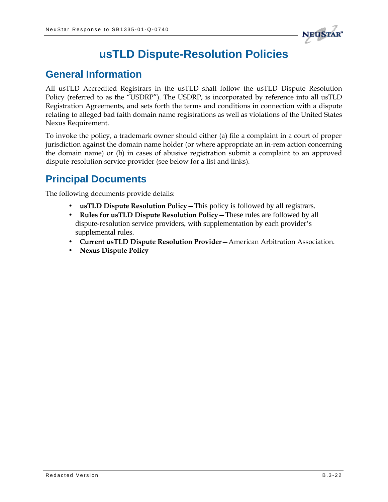

# **usTLD Dispute-Resolution Policies**

## **General Information**

All usTLD Accredited Registrars in the usTLD shall follow the usTLD Dispute Resolution Policy (referred to as the "USDRP"). The USDRP, is incorporated by reference into all usTLD Registration Agreements, and sets forth the terms and conditions in connection with a dispute relating to alleged bad faith domain name registrations as well as violations of the United States Nexus Requirement.

To invoke the policy, a trademark owner should either (a) file a complaint in a court of proper jurisdiction against the domain name holder (or where appropriate an in-rem action concerning the domain name) or (b) in cases of abusive registration submit a complaint to an approved dispute-resolution service provider (see below for a list and links).

## **Principal Documents**

The following documents provide details:

- **usTLD Dispute Resolution Policy—**This policy is followed by all registrars.
- **Rules for usTLD Dispute Resolution Policy—**These rules are followed by all dispute-resolution service providers, with supplementation by each provider's supplemental rules.
- **Current usTLD Dispute Resolution Provider—**American Arbitration Association.
- **Nexus Dispute Policy**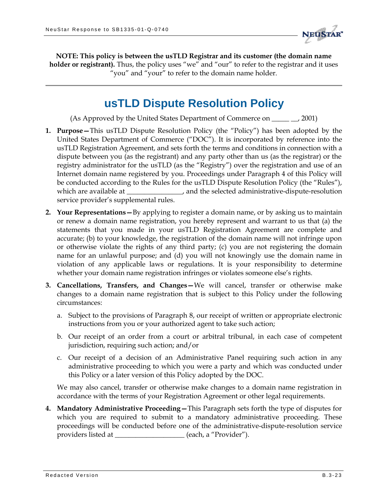

**NOTE: This policy is between the usTLD Registrar and its customer (the domain name holder or registrant).** Thus, the policy uses "we" and "our" to refer to the registrar and it uses "you" and "your" to refer to the domain name holder.

## **usTLD Dispute Resolution Policy**

(As Approved by the United States Department of Commerce on \_\_\_\_\_ \_\_, 2001)

- **1. Purpose—**This usTLD Dispute Resolution Policy (the "Policy") has been adopted by the United States Department of Commerce ("DOC"). It is incorporated by reference into the usTLD Registration Agreement, and sets forth the terms and conditions in connection with a dispute between you (as the registrant) and any party other than us (as the registrar) or the registry administrator for the usTLD (as the "Registry") over the registration and use of an Internet domain name registered by you. Proceedings under Paragraph 4 of this Policy will be conducted according to the Rules for the usTLD Dispute Resolution Policy (the "Rules"), which are available at \_\_\_\_\_\_\_\_\_\_\_\_\_\_, and the selected administrative-dispute-resolution service provider's supplemental rules.
- **2. Your Representations—**By applying to register a domain name, or by asking us to maintain or renew a domain name registration, you hereby represent and warrant to us that (a) the statements that you made in your usTLD Registration Agreement are complete and accurate; (b) to your knowledge, the registration of the domain name will not infringe upon or otherwise violate the rights of any third party; (c) you are not registering the domain name for an unlawful purpose; and (d) you will not knowingly use the domain name in violation of any applicable laws or regulations. It is your responsibility to determine whether your domain name registration infringes or violates someone else's rights.
- **3. Cancellations, Transfers, and Changes—**We will cancel, transfer or otherwise make changes to a domain name registration that is subject to this Policy under the following circumstances:
	- a. Subject to the provisions of Paragraph 8, our receipt of written or appropriate electronic instructions from you or your authorized agent to take such action;
	- b. Our receipt of an order from a court or arbitral tribunal, in each case of competent jurisdiction, requiring such action; and/or
	- c. Our receipt of a decision of an Administrative Panel requiring such action in any administrative proceeding to which you were a party and which was conducted under this Policy or a later version of this Policy adopted by the DOC.

We may also cancel, transfer or otherwise make changes to a domain name registration in accordance with the terms of your Registration Agreement or other legal requirements.

**4. Mandatory Administrative Proceeding—**This Paragraph sets forth the type of disputes for which you are required to submit to a mandatory administrative proceeding. These proceedings will be conducted before one of the administrative-dispute-resolution service providers listed at \_\_\_\_\_\_\_\_\_\_\_\_\_\_\_\_\_\_\_\_ (each, a "Provider").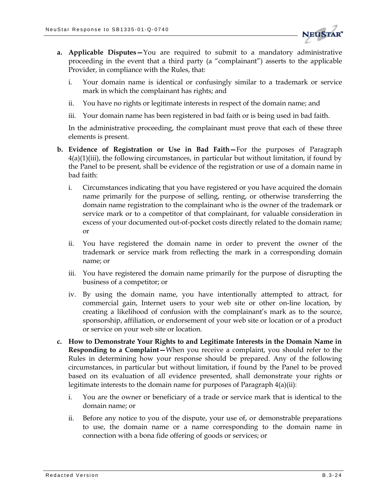

- **a. Applicable Disputes—**You are required to submit to a mandatory administrative proceeding in the event that a third party (a "complainant") asserts to the applicable Provider, in compliance with the Rules, that:
	- i. Your domain name is identical or confusingly similar to a trademark or service mark in which the complainant has rights; and
	- ii. You have no rights or legitimate interests in respect of the domain name; and
	- iii. Your domain name has been registered in bad faith or is being used in bad faith.

In the administrative proceeding, the complainant must prove that each of these three elements is present.

- **b. Evidence of Registration or Use in Bad Faith—**For the purposes of Paragraph  $4(a)(1)(iii)$ , the following circumstances, in particular but without limitation, if found by the Panel to be present, shall be evidence of the registration or use of a domain name in bad faith:
	- i. Circumstances indicating that you have registered or you have acquired the domain name primarily for the purpose of selling, renting, or otherwise transferring the domain name registration to the complainant who is the owner of the trademark or service mark or to a competitor of that complainant, for valuable consideration in excess of your documented out-of-pocket costs directly related to the domain name; or
	- ii. You have registered the domain name in order to prevent the owner of the trademark or service mark from reflecting the mark in a corresponding domain name; or
	- iii. You have registered the domain name primarily for the purpose of disrupting the business of a competitor; or
	- iv. By using the domain name, you have intentionally attempted to attract, for commercial gain, Internet users to your web site or other on-line location, by creating a likelihood of confusion with the complainant's mark as to the source, sponsorship, affiliation, or endorsement of your web site or location or of a product or service on your web site or location.
- **c. How to Demonstrate Your Rights to and Legitimate Interests in the Domain Name in Responding to a Complaint—**When you receive a complaint, you should refer to the Rules in determining how your response should be prepared. Any of the following circumstances, in particular but without limitation, if found by the Panel to be proved based on its evaluation of all evidence presented, shall demonstrate your rights or legitimate interests to the domain name for purposes of Paragraph 4(a)(ii):
	- i. You are the owner or beneficiary of a trade or service mark that is identical to the domain name; or
	- ii. Before any notice to you of the dispute, your use of, or demonstrable preparations to use, the domain name or a name corresponding to the domain name in connection with a bona fide offering of goods or services; or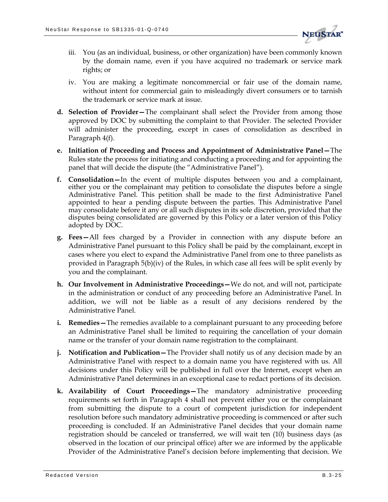

- iii. You (as an individual, business, or other organization) have been commonly known by the domain name, even if you have acquired no trademark or service mark rights; or
- iv. You are making a legitimate noncommercial or fair use of the domain name, without intent for commercial gain to misleadingly divert consumers or to tarnish the trademark or service mark at issue.
- **d. Selection of Provider—**The complainant shall select the Provider from among those approved by DOC by submitting the complaint to that Provider. The selected Provider will administer the proceeding, except in cases of consolidation as described in Paragraph 4(f).
- **e. Initiation of Proceeding and Process and Appointment of Administrative Panel—**The Rules state the process for initiating and conducting a proceeding and for appointing the panel that will decide the dispute (the "Administrative Panel").
- **f. Consolidation—**In the event of multiple disputes between you and a complainant, either you or the complainant may petition to consolidate the disputes before a single Administrative Panel. This petition shall be made to the first Administrative Panel appointed to hear a pending dispute between the parties. This Administrative Panel may consolidate before it any or all such disputes in its sole discretion, provided that the disputes being consolidated are governed by this Policy or a later version of this Policy adopted by DOC.
- **g. Fees—**All fees charged by a Provider in connection with any dispute before an Administrative Panel pursuant to this Policy shall be paid by the complainant, except in cases where you elect to expand the Administrative Panel from one to three panelists as provided in Paragraph 5(b)(iv) of the Rules, in which case all fees will be split evenly by you and the complainant.
- **h. Our Involvement in Administrative Proceedings—**We do not, and will not, participate in the administration or conduct of any proceeding before an Administrative Panel. In addition, we will not be liable as a result of any decisions rendered by the Administrative Panel.
- **i. Remedies—**The remedies available to a complainant pursuant to any proceeding before an Administrative Panel shall be limited to requiring the cancellation of your domain name or the transfer of your domain name registration to the complainant.
- **j. Notification and Publication—**The Provider shall notify us of any decision made by an Administrative Panel with respect to a domain name you have registered with us. All decisions under this Policy will be published in full over the Internet, except when an Administrative Panel determines in an exceptional case to redact portions of its decision.
- **k. Availability of Court Proceedings—**The mandatory administrative proceeding requirements set forth in Paragraph 4 shall not prevent either you or the complainant from submitting the dispute to a court of competent jurisdiction for independent resolution before such mandatory administrative proceeding is commenced or after such proceeding is concluded. If an Administrative Panel decides that your domain name registration should be canceled or transferred, we will wait ten (10) business days (as observed in the location of our principal office) after we are informed by the applicable Provider of the Administrative Panel's decision before implementing that decision. We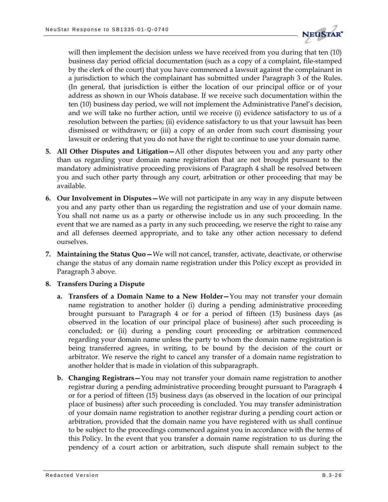

will then implement the decision unless we have received from you during that ten (10) business day period official documentation (such as a copy of a complaint, file-stamped by the clerk of the court) that you have commenced a lawsuit against the complainant in a jurisdiction to which the complainant has submitted under Paragraph 3 of the Rules. (In general, that jurisdiction is either the location of our principal office or of your address as shown in our Whois database. If we receive such documentation within the ten (10) business day period, we will not implement the Administrative Panel's decision, and we will take no further action, until we receive (i) evidence satisfactory to us of a resolution between the parties; (ii) evidence satisfactory to us that your lawsuit has been dismissed or withdrawn; or (iii) a copy of an order from such court dismissing your lawsuit or ordering that you do not have the right to continue to use your domain name.

- **5. All Other Disputes and Litigation—**All other disputes between you and any party other than us regarding your domain name registration that are not brought pursuant to the mandatory administrative proceeding provisions of Paragraph 4 shall be resolved between you and such other party through any court, arbitration or other proceeding that may be available.
- **6. Our Involvement in Disputes—**We will not participate in any way in any dispute between you and any party other than us regarding the registration and use of your domain name. You shall not name us as a party or otherwise include us in any such proceeding. In the event that we are named as a party in any such proceeding, we reserve the right to raise any and all defenses deemed appropriate, and to take any other action necessary to defend ourselves.
- **7. Maintaining the Status Quo—**We will not cancel, transfer, activate, deactivate, or otherwise change the status of any domain name registration under this Policy except as provided in Paragraph 3 above.

#### **8. Transfers During a Dispute**

- **a. Transfers of a Domain Name to a New Holder—**You may not transfer your domain name registration to another holder (i) during a pending administrative proceeding brought pursuant to Paragraph 4 or for a period of fifteen (15) business days (as observed in the location of our principal place of business) after such proceeding is concluded; or (ii) during a pending court proceeding or arbitration commenced regarding your domain name unless the party to whom the domain name registration is being transferred agrees, in writing, to be bound by the decision of the court or arbitrator. We reserve the right to cancel any transfer of a domain name registration to another holder that is made in violation of this subparagraph.
- **b. Changing Registrars—**You may not transfer your domain name registration to another registrar during a pending administrative proceeding brought pursuant to Paragraph 4 or for a period of fifteen (15) business days (as observed in the location of our principal place of business) after such proceeding is concluded. You may transfer administration of your domain name registration to another registrar during a pending court action or arbitration, provided that the domain name you have registered with us shall continue to be subject to the proceedings commenced against you in accordance with the terms of this Policy. In the event that you transfer a domain name registration to us during the pendency of a court action or arbitration, such dispute shall remain subject to the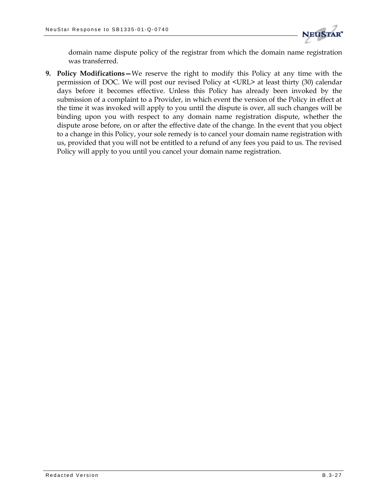

domain name dispute policy of the registrar from which the domain name registration was transferred.

**9. Policy Modifications—**We reserve the right to modify this Policy at any time with the permission of DOC. We will post our revised Policy at <URL> at least thirty (30) calendar days before it becomes effective. Unless this Policy has already been invoked by the submission of a complaint to a Provider, in which event the version of the Policy in effect at the time it was invoked will apply to you until the dispute is over, all such changes will be binding upon you with respect to any domain name registration dispute, whether the dispute arose before, on or after the effective date of the change. In the event that you object to a change in this Policy, your sole remedy is to cancel your domain name registration with us, provided that you will not be entitled to a refund of any fees you paid to us. The revised Policy will apply to you until you cancel your domain name registration.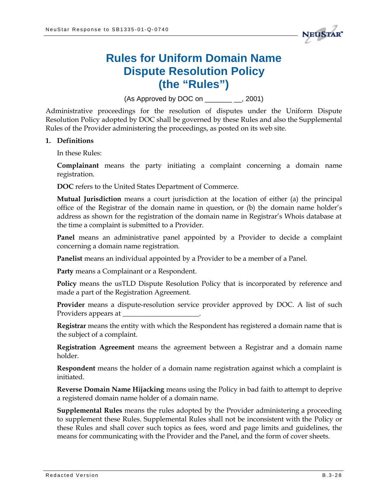

# **Rules for Uniform Domain Name Dispute Resolution Policy (the "Rules")**

(As Approved by DOC on \_\_\_\_\_\_\_ \_\_, 2001)

Administrative proceedings for the resolution of disputes under the Uniform Dispute Resolution Policy adopted by DOC shall be governed by these Rules and also the Supplemental Rules of the Provider administering the proceedings, as posted on its web site.

#### **1. Definitions**

In these Rules:

**Complainant** means the party initiating a complaint concerning a domain name registration.

**DOC** refers to the United States Department of Commerce.

**Mutual Jurisdiction** means a court jurisdiction at the location of either (a) the principal office of the Registrar of the domain name in question, or (b) the domain name holder's address as shown for the registration of the domain name in Registrar's Whois database at the time a complaint is submitted to a Provider.

**Panel** means an administrative panel appointed by a Provider to decide a complaint concerning a domain name registration.

**Panelist** means an individual appointed by a Provider to be a member of a Panel.

**Party** means a Complainant or a Respondent.

**Policy** means the usTLD Dispute Resolution Policy that is incorporated by reference and made a part of the Registration Agreement.

**Provider** means a dispute-resolution service provider approved by DOC. A list of such Providers appears at

**Registrar** means the entity with which the Respondent has registered a domain name that is the subject of a complaint.

**Registration Agreement** means the agreement between a Registrar and a domain name holder.

**Respondent** means the holder of a domain name registration against which a complaint is initiated.

**Reverse Domain Name Hijacking** means using the Policy in bad faith to attempt to deprive a registered domain name holder of a domain name.

**Supplemental Rules** means the rules adopted by the Provider administering a proceeding to supplement these Rules. Supplemental Rules shall not be inconsistent with the Policy or these Rules and shall cover such topics as fees, word and page limits and guidelines, the means for communicating with the Provider and the Panel, and the form of cover sheets.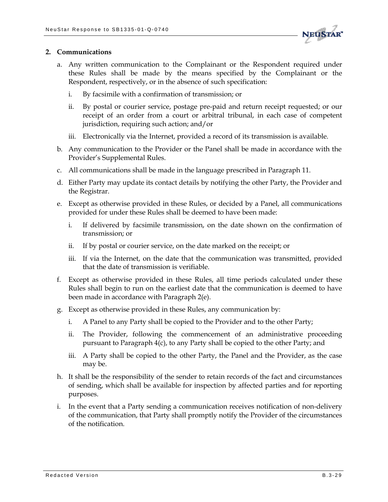

#### **2. Communications**

- a. Any written communication to the Complainant or the Respondent required under these Rules shall be made by the means specified by the Complainant or the Respondent, respectively, or in the absence of such specification:
	- i. By facsimile with a confirmation of transmission; or
	- ii. By postal or courier service, postage pre-paid and return receipt requested; or our receipt of an order from a court or arbitral tribunal, in each case of competent jurisdiction, requiring such action; and/or
	- iii. Electronically via the Internet, provided a record of its transmission is available.
- b. Any communication to the Provider or the Panel shall be made in accordance with the Provider's Supplemental Rules.
- c. All communications shall be made in the language prescribed in Paragraph 11.
- d. Either Party may update its contact details by notifying the other Party, the Provider and the Registrar.
- e. Except as otherwise provided in these Rules, or decided by a Panel, all communications provided for under these Rules shall be deemed to have been made:
	- i. If delivered by facsimile transmission, on the date shown on the confirmation of transmission; or
	- ii. If by postal or courier service, on the date marked on the receipt; or
	- iii. If via the Internet, on the date that the communication was transmitted, provided that the date of transmission is verifiable.
- f. Except as otherwise provided in these Rules, all time periods calculated under these Rules shall begin to run on the earliest date that the communication is deemed to have been made in accordance with Paragraph 2(e).
- g. Except as otherwise provided in these Rules, any communication by:
	- i. A Panel to any Party shall be copied to the Provider and to the other Party;
	- ii. The Provider, following the commencement of an administrative proceeding pursuant to Paragraph 4(c), to any Party shall be copied to the other Party; and
	- iii. A Party shall be copied to the other Party, the Panel and the Provider, as the case may be.
- h. It shall be the responsibility of the sender to retain records of the fact and circumstances of sending, which shall be available for inspection by affected parties and for reporting purposes.
- i. In the event that a Party sending a communication receives notification of non-delivery of the communication, that Party shall promptly notify the Provider of the circumstances of the notification.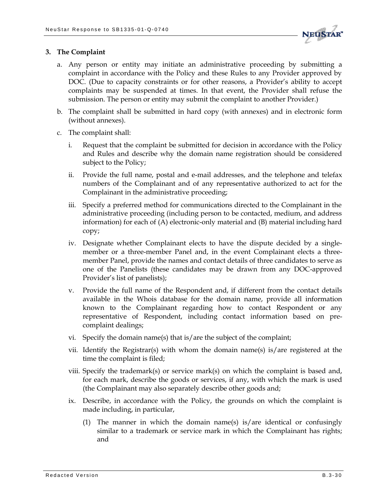

#### **3. The Complaint**

- a. Any person or entity may initiate an administrative proceeding by submitting a complaint in accordance with the Policy and these Rules to any Provider approved by DOC. (Due to capacity constraints or for other reasons, a Provider's ability to accept complaints may be suspended at times. In that event, the Provider shall refuse the submission. The person or entity may submit the complaint to another Provider.)
- b. The complaint shall be submitted in hard copy (with annexes) and in electronic form (without annexes).
- c. The complaint shall:
	- i. Request that the complaint be submitted for decision in accordance with the Policy and Rules and describe why the domain name registration should be considered subject to the Policy;
	- ii. Provide the full name, postal and e-mail addresses, and the telephone and telefax numbers of the Complainant and of any representative authorized to act for the Complainant in the administrative proceeding;
	- iii. Specify a preferred method for communications directed to the Complainant in the administrative proceeding (including person to be contacted, medium, and address information) for each of (A) electronic-only material and (B) material including hard copy;
	- iv. Designate whether Complainant elects to have the dispute decided by a singlemember or a three-member Panel and, in the event Complainant elects a threemember Panel, provide the names and contact details of three candidates to serve as one of the Panelists (these candidates may be drawn from any DOC-approved Provider's list of panelists);
	- v. Provide the full name of the Respondent and, if different from the contact details available in the Whois database for the domain name, provide all information known to the Complainant regarding how to contact Respondent or any representative of Respondent, including contact information based on precomplaint dealings;
	- vi. Specify the domain name(s) that is/are the subject of the complaint;
	- vii. Identify the Registrar(s) with whom the domain name(s) is/are registered at the time the complaint is filed;
	- viii. Specify the trademark(s) or service mark(s) on which the complaint is based and, for each mark, describe the goods or services, if any, with which the mark is used (the Complainant may also separately describe other goods and;
	- ix. Describe, in accordance with the Policy, the grounds on which the complaint is made including, in particular,
		- (1) The manner in which the domain name(s) is/are identical or confusingly similar to a trademark or service mark in which the Complainant has rights; and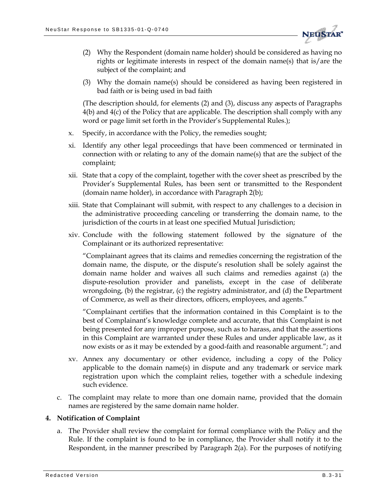

- (2) Why the Respondent (domain name holder) should be considered as having no rights or legitimate interests in respect of the domain name(s) that is/are the subject of the complaint; and
- (3) Why the domain name(s) should be considered as having been registered in bad faith or is being used in bad faith

(The description should, for elements (2) and (3), discuss any aspects of Paragraphs 4(b) and 4(c) of the Policy that are applicable. The description shall comply with any word or page limit set forth in the Provider's Supplemental Rules.);

- x. Specify, in accordance with the Policy, the remedies sought;
- xi. Identify any other legal proceedings that have been commenced or terminated in connection with or relating to any of the domain name(s) that are the subject of the complaint;
- xii. State that a copy of the complaint, together with the cover sheet as prescribed by the Provider's Supplemental Rules, has been sent or transmitted to the Respondent (domain name holder), in accordance with Paragraph 2(b);
- xiii. State that Complainant will submit, with respect to any challenges to a decision in the administrative proceeding canceling or transferring the domain name, to the jurisdiction of the courts in at least one specified Mutual Jurisdiction;
- xiv. Conclude with the following statement followed by the signature of the Complainant or its authorized representative:

"Complainant agrees that its claims and remedies concerning the registration of the domain name, the dispute, or the dispute's resolution shall be solely against the domain name holder and waives all such claims and remedies against (a) the dispute-resolution provider and panelists, except in the case of deliberate wrongdoing, (b) the registrar, (c) the registry administrator, and (d) the Department of Commerce, as well as their directors, officers, employees, and agents."

"Complainant certifies that the information contained in this Complaint is to the best of Complainant's knowledge complete and accurate, that this Complaint is not being presented for any improper purpose, such as to harass, and that the assertions in this Complaint are warranted under these Rules and under applicable law, as it now exists or as it may be extended by a good-faith and reasonable argument."; and

- xv. Annex any documentary or other evidence, including a copy of the Policy applicable to the domain name(s) in dispute and any trademark or service mark registration upon which the complaint relies, together with a schedule indexing such evidence.
- c. The complaint may relate to more than one domain name, provided that the domain names are registered by the same domain name holder.

#### **4. Notification of Complaint**

a. The Provider shall review the complaint for formal compliance with the Policy and the Rule. If the complaint is found to be in compliance, the Provider shall notify it to the Respondent, in the manner prescribed by Paragraph 2(a). For the purposes of notifying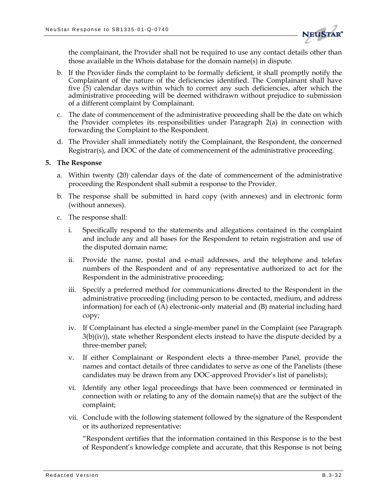

the complainant, the Provider shall not be required to use any contact details other than those available in the Whois database for the domain name(s) in dispute.

- b. If the Provider finds the complaint to be formally deficient, it shall promptly notify the Complainant of the nature of the deficiencies identified. The Complainant shall have five (5) calendar days within which to correct any such deficiencies, after which the administrative proceeding will be deemed withdrawn without prejudice to submission of a different complaint by Complainant.
- c. The date of commencement of the administrative proceeding shall be the date on which the Provider completes its responsibilities under Paragraph 2(a) in connection with forwarding the Complaint to the Respondent.
- d. The Provider shall immediately notify the Complainant, the Respondent, the concerned Registrar(s), and DOC of the date of commencement of the administrative proceeding.

#### **5. The Response**

- a. Within twenty (20) calendar days of the date of commencement of the administrative proceeding the Respondent shall submit a response to the Provider.
- b. The response shall be submitted in hard copy (with annexes) and in electronic form (without annexes).
- c. The response shall:
	- i. Specifically respond to the statements and allegations contained in the complaint and include any and all bases for the Respondent to retain registration and use of the disputed domain name;
	- ii. Provide the name, postal and e-mail addresses, and the telephone and telefax numbers of the Respondent and of any representative authorized to act for the Respondent in the administrative proceeding;
	- iii. Specify a preferred method for communications directed to the Respondent in the administrative proceeding (including person to be contacted, medium, and address information) for each of (A) electronic-only material and (B) material including hard copy;
	- iv. If Complainant has elected a single-member panel in the Complaint (see Paragraph 3(b)(iv)), state whether Respondent elects instead to have the dispute decided by a three-member panel;
	- v. If either Complainant or Respondent elects a three-member Panel, provide the names and contact details of three candidates to serve as one of the Panelists (these candidates may be drawn from any DOC-approved Provider's list of panelists);
	- vi. Identify any other legal proceedings that have been commenced or terminated in connection with or relating to any of the domain name(s) that are the subject of the complaint;
	- vii. Conclude with the following statement followed by the signature of the Respondent or its authorized representative:

"Respondent certifies that the information contained in this Response is to the best of Respondent's knowledge complete and accurate, that this Response is not being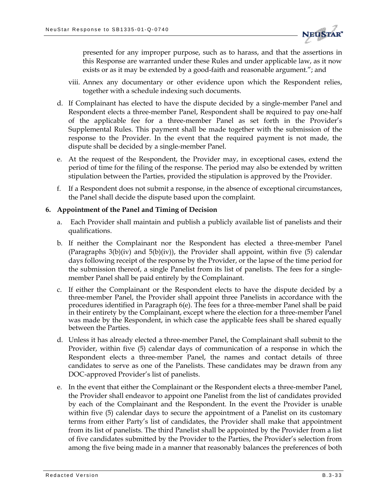

presented for any improper purpose, such as to harass, and that the assertions in this Response are warranted under these Rules and under applicable law, as it now exists or as it may be extended by a good-faith and reasonable argument."; and

- viii. Annex any documentary or other evidence upon which the Respondent relies, together with a schedule indexing such documents.
- d. If Complainant has elected to have the dispute decided by a single-member Panel and Respondent elects a three-member Panel, Respondent shall be required to pay one-half of the applicable fee for a three-member Panel as set forth in the Provider's Supplemental Rules. This payment shall be made together with the submission of the response to the Provider. In the event that the required payment is not made, the dispute shall be decided by a single-member Panel.
- e. At the request of the Respondent, the Provider may, in exceptional cases, extend the period of time for the filing of the response. The period may also be extended by written stipulation between the Parties, provided the stipulation is approved by the Provider.
- f. If a Respondent does not submit a response, in the absence of exceptional circumstances, the Panel shall decide the dispute based upon the complaint.

#### **6. Appointment of the Panel and Timing of Decision**

- a. Each Provider shall maintain and publish a publicly available list of panelists and their qualifications.
- b. If neither the Complainant nor the Respondent has elected a three-member Panel (Paragraphs  $3(b)(iv)$  and  $5(b)(iv)$ ), the Provider shall appoint, within five (5) calendar days following receipt of the response by the Provider, or the lapse of the time period for the submission thereof, a single Panelist from its list of panelists. The fees for a singlemember Panel shall be paid entirely by the Complainant.
- c. If either the Complainant or the Respondent elects to have the dispute decided by a three-member Panel, the Provider shall appoint three Panelists in accordance with the procedures identified in Paragraph 6(e). The fees for a three-member Panel shall be paid in their entirety by the Complainant, except where the election for a three-member Panel was made by the Respondent, in which case the applicable fees shall be shared equally between the Parties.
- d. Unless it has already elected a three-member Panel, the Complainant shall submit to the Provider, within five (5) calendar days of communication of a response in which the Respondent elects a three-member Panel, the names and contact details of three candidates to serve as one of the Panelists. These candidates may be drawn from any DOC-approved Provider's list of panelists.
- e. In the event that either the Complainant or the Respondent elects a three-member Panel, the Provider shall endeavor to appoint one Panelist from the list of candidates provided by each of the Complainant and the Respondent. In the event the Provider is unable within five (5) calendar days to secure the appointment of a Panelist on its customary terms from either Party's list of candidates, the Provider shall make that appointment from its list of panelists. The third Panelist shall be appointed by the Provider from a list of five candidates submitted by the Provider to the Parties, the Provider's selection from among the five being made in a manner that reasonably balances the preferences of both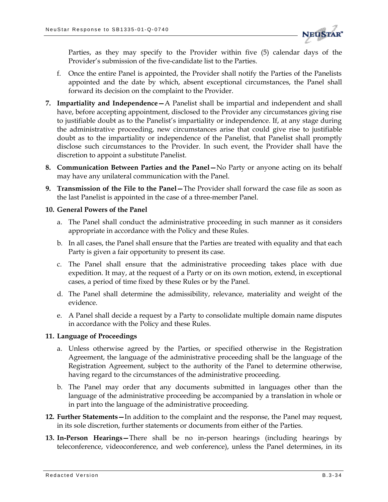

Parties, as they may specify to the Provider within five (5) calendar days of the Provider's submission of the five-candidate list to the Parties.

- f. Once the entire Panel is appointed, the Provider shall notify the Parties of the Panelists appointed and the date by which, absent exceptional circumstances, the Panel shall forward its decision on the complaint to the Provider.
- **7. Impartiality and Independence—**A Panelist shall be impartial and independent and shall have, before accepting appointment, disclosed to the Provider any circumstances giving rise to justifiable doubt as to the Panelist's impartiality or independence. If, at any stage during the administrative proceeding, new circumstances arise that could give rise to justifiable doubt as to the impartiality or independence of the Panelist, that Panelist shall promptly disclose such circumstances to the Provider. In such event, the Provider shall have the discretion to appoint a substitute Panelist.
- **8. Communication Between Parties and the Panel—**No Party or anyone acting on its behalf may have any unilateral communication with the Panel.
- **9. Transmission of the File to the Panel—**The Provider shall forward the case file as soon as the last Panelist is appointed in the case of a three-member Panel.

#### **10. General Powers of the Panel**

- a. The Panel shall conduct the administrative proceeding in such manner as it considers appropriate in accordance with the Policy and these Rules.
- b. In all cases, the Panel shall ensure that the Parties are treated with equality and that each Party is given a fair opportunity to present its case.
- c. The Panel shall ensure that the administrative proceeding takes place with due expedition. It may, at the request of a Party or on its own motion, extend, in exceptional cases, a period of time fixed by these Rules or by the Panel.
- d. The Panel shall determine the admissibility, relevance, materiality and weight of the evidence.
- e. A Panel shall decide a request by a Party to consolidate multiple domain name disputes in accordance with the Policy and these Rules.

#### **11. Language of Proceedings**

- a. Unless otherwise agreed by the Parties, or specified otherwise in the Registration Agreement, the language of the administrative proceeding shall be the language of the Registration Agreement, subject to the authority of the Panel to determine otherwise, having regard to the circumstances of the administrative proceeding.
- b. The Panel may order that any documents submitted in languages other than the language of the administrative proceeding be accompanied by a translation in whole or in part into the language of the administrative proceeding.
- **12. Further Statements—**In addition to the complaint and the response, the Panel may request, in its sole discretion, further statements or documents from either of the Parties.
- **13. In-Person Hearings—**There shall be no in-person hearings (including hearings by teleconference, videoconference, and web conference), unless the Panel determines, in its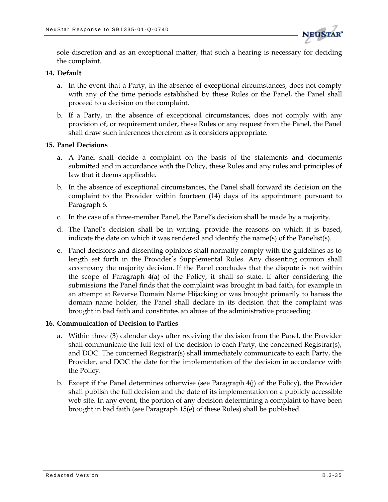

sole discretion and as an exceptional matter, that such a hearing is necessary for deciding the complaint.

#### **14. Default**

- a. In the event that a Party, in the absence of exceptional circumstances, does not comply with any of the time periods established by these Rules or the Panel, the Panel shall proceed to a decision on the complaint.
- b. If a Party, in the absence of exceptional circumstances, does not comply with any provision of, or requirement under, these Rules or any request from the Panel, the Panel shall draw such inferences therefrom as it considers appropriate.

#### **15. Panel Decisions**

- a. A Panel shall decide a complaint on the basis of the statements and documents submitted and in accordance with the Policy, these Rules and any rules and principles of law that it deems applicable.
- b. In the absence of exceptional circumstances, the Panel shall forward its decision on the complaint to the Provider within fourteen (14) days of its appointment pursuant to Paragraph 6.
- c. In the case of a three-member Panel, the Panel's decision shall be made by a majority.
- d. The Panel's decision shall be in writing, provide the reasons on which it is based, indicate the date on which it was rendered and identify the name(s) of the Panelist(s).
- e. Panel decisions and dissenting opinions shall normally comply with the guidelines as to length set forth in the Provider's Supplemental Rules. Any dissenting opinion shall accompany the majority decision. If the Panel concludes that the dispute is not within the scope of Paragraph 4(a) of the Policy, it shall so state. If after considering the submissions the Panel finds that the complaint was brought in bad faith, for example in an attempt at Reverse Domain Name Hijacking or was brought primarily to harass the domain name holder, the Panel shall declare in its decision that the complaint was brought in bad faith and constitutes an abuse of the administrative proceeding.

#### **16. Communication of Decision to Parties**

- a. Within three (3) calendar days after receiving the decision from the Panel, the Provider shall communicate the full text of the decision to each Party, the concerned Registrar(s), and DOC. The concerned Registrar(s) shall immediately communicate to each Party, the Provider, and DOC the date for the implementation of the decision in accordance with the Policy.
- b. Except if the Panel determines otherwise (see Paragraph 4(j) of the Policy), the Provider shall publish the full decision and the date of its implementation on a publicly accessible web site. In any event, the portion of any decision determining a complaint to have been brought in bad faith (see Paragraph 15(e) of these Rules) shall be published.